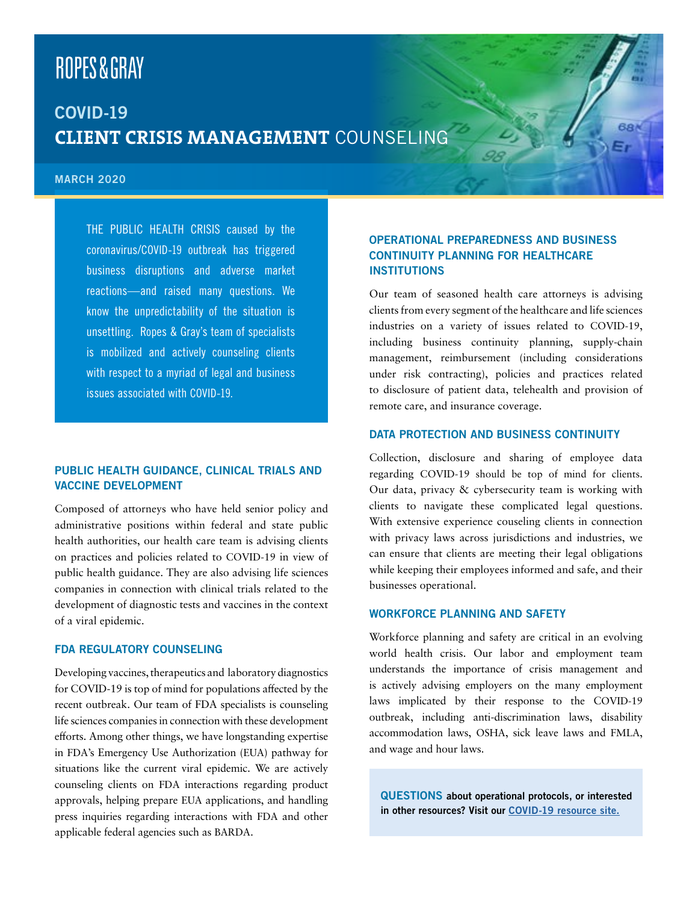# **ROPES&GRAY**

# COVID-19 **CLIENT CRISIS MANAGEMENT** COUNSELING

#### MARCH 2020

THE PUBLIC HEALTH CRISIS caused by the coronavirus/COVID-19 outbreak has triggered business disruptions and adverse market reactions—and raised many questions. We know the unpredictability of the situation is unsettling. Ropes & Gray's team of specialists is mobilized and actively counseling clients with respect to a myriad of legal and business issues associated with COVID-19.

# PUBLIC HEALTH GUIDANCE, CLINICAL TRIALS AND VACCINE DEVELOPMENT

Composed of attorneys who have held senior policy and administrative positions within federal and state public health authorities, our health care team is advising clients on practices and policies related to COVID-19 in view of public health guidance. They are also advising life sciences companies in connection with clinical trials related to the development of diagnostic tests and vaccines in the context of a viral epidemic.

# FDA REGULATORY COUNSELING

Developing vaccines, therapeutics and laboratory diagnostics for COVID-19 is top of mind for populations affected by the recent outbreak. Our team of FDA specialists is counseling life sciences companies in connection with these development efforts. Among other things, we have longstanding expertise in FDA's Emergency Use Authorization (EUA) pathway for situations like the current viral epidemic. We are actively counseling clients on FDA interactions regarding product approvals, helping prepare EUA applications, and handling press inquiries regarding interactions with FDA and other applicable federal agencies such as BARDA.

# OPERATIONAL PREPAREDNESS AND BUSINESS CONTINUITY PLANNING FOR HEALTHCARE **INSTITUTIONS**

Our team of seasoned health care attorneys is advising clients from every segment of the healthcare and life sciences industries on a variety of issues related to COVID-19, including business continuity planning, supply-chain management, reimbursement (including considerations under risk contracting), policies and practices related to disclosure of patient data, telehealth and provision of remote care, and insurance coverage.

#### DATA PROTECTION AND BUSINESS CONTINUITY

Collection, disclosure and sharing of employee data regarding COVID-19 should be top of mind for clients. Our data, privacy & cybersecurity team is working with clients to navigate these complicated legal questions. With extensive experience couseling clients in connection with privacy laws across jurisdictions and industries, we can ensure that clients are meeting their legal obligations while keeping their employees informed and safe, and their businesses operational.

# WORKFORCE PLANNING AND SAFETY

Workforce planning and safety are critical in an evolving world health crisis. Our labor and employment team understands the importance of crisis management and is actively advising employers on the many employment laws implicated by their response to the COVID-19 outbreak, including anti-discrimination laws, disability accommodation laws, OSHA, sick leave laws and FMLA, and wage and hour laws.

QUESTIONS about operational protocols, or interested in other resources? Visit our [COVID-19 resource site.](https://www.ropesgray.com/en/coronavirus)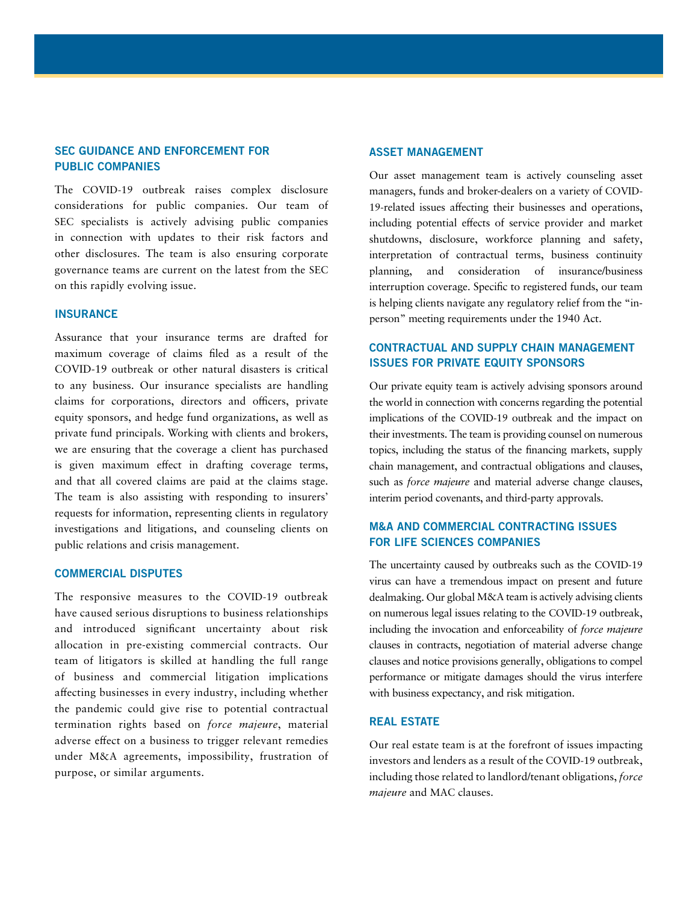# SEC GUIDANCE AND ENFORCEMENT FOR PUBLIC COMPANIES

The COVID-19 outbreak raises complex disclosure considerations for public companies. Our team of SEC specialists is actively advising public companies in connection with updates to their risk factors and other disclosures. The team is also ensuring corporate governance teams are current on the latest from the SEC on this rapidly evolving issue.

# **INSURANCE**

Assurance that your insurance terms are drafted for maximum coverage of claims filed as a result of the COVID-19 outbreak or other natural disasters is critical to any business. Our insurance specialists are handling claims for corporations, directors and officers, private equity sponsors, and hedge fund organizations, as well as private fund principals. Working with clients and brokers, we are ensuring that the coverage a client has purchased is given maximum effect in drafting coverage terms, and that all covered claims are paid at the claims stage. The team is also assisting with responding to insurers' requests for information, representing clients in regulatory investigations and litigations, and counseling clients on public relations and crisis management.

#### COMMERCIAL DISPUTES

The responsive measures to the COVID-19 outbreak have caused serious disruptions to business relationships and introduced significant uncertainty about risk allocation in pre-existing commercial contracts. Our team of litigators is skilled at handling the full range of business and commercial litigation implications affecting businesses in every industry, including whether the pandemic could give rise to potential contractual termination rights based on *force majeure*, material adverse effect on a business to trigger relevant remedies under M&A agreements, impossibility, frustration of purpose, or similar arguments.

#### ASSET MANAGEMENT

Our asset management team is actively counseling asset managers, funds and broker-dealers on a variety of COVID-19-related issues affecting their businesses and operations, including potential effects of service provider and market shutdowns, disclosure, workforce planning and safety, interpretation of contractual terms, business continuity planning, and consideration of insurance/business interruption coverage. Specific to registered funds, our team is helping clients navigate any regulatory relief from the "inperson" meeting requirements under the 1940 Act.

# CONTRACTUAL AND SUPPLY CHAIN MANAGEMENT ISSUES FOR PRIVATE EQUITY SPONSORS

Our private equity team is actively advising sponsors around the world in connection with concerns regarding the potential implications of the COVID-19 outbreak and the impact on their investments. The team is providing counsel on numerous topics, including the status of the financing markets, supply chain management, and contractual obligations and clauses, such as *force majeure* and material adverse change clauses, interim period covenants, and third-party approvals.

# M&A AND COMMERCIAL CONTRACTING ISSUES FOR LIFE SCIENCES COMPANIES

The uncertainty caused by outbreaks such as the COVID-19 virus can have a tremendous impact on present and future dealmaking. Our global M&A team is actively advising clients on numerous legal issues relating to the COVID-19 outbreak, including the invocation and enforceability of *force majeure* clauses in contracts, negotiation of material adverse change clauses and notice provisions generally, obligations to compel performance or mitigate damages should the virus interfere with business expectancy, and risk mitigation.

#### REAL ESTATE

Our real estate team is at the forefront of issues impacting investors and lenders as a result of the COVID-19 outbreak, including those related to landlord/tenant obligations, *force majeure* and MAC clauses.